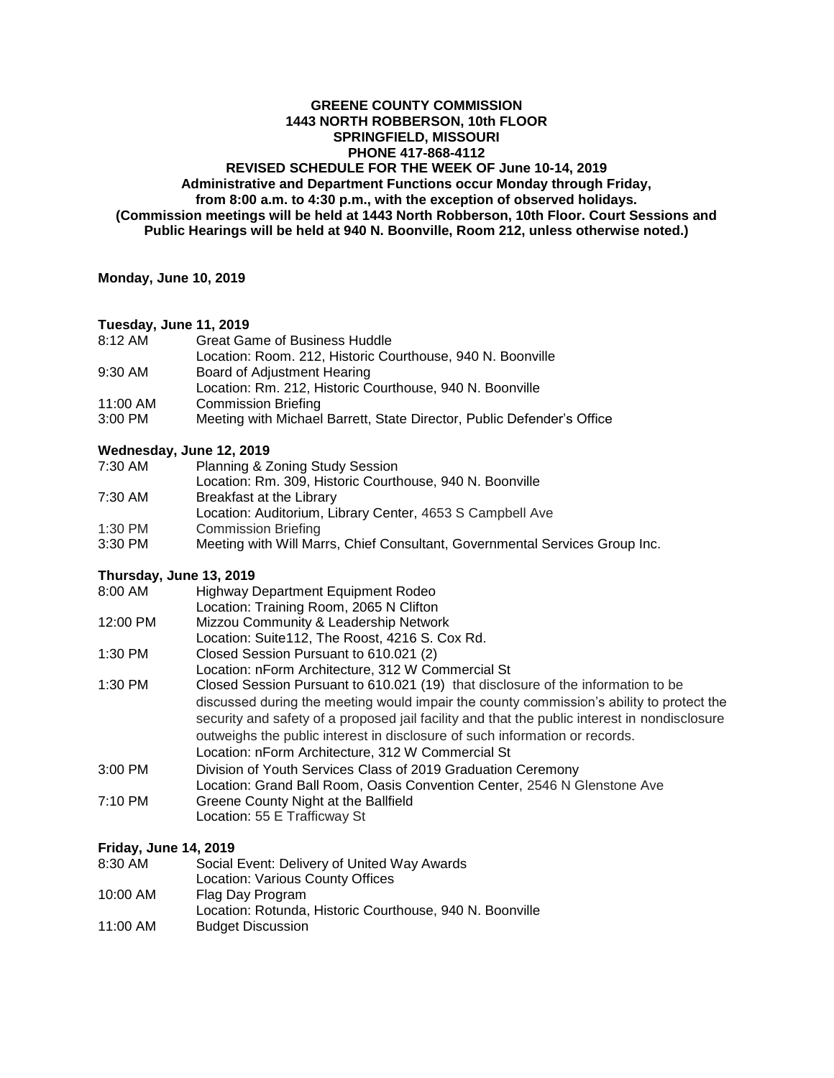# **GREENE COUNTY COMMISSION 1443 NORTH ROBBERSON, 10th FLOOR SPRINGFIELD, MISSOURI PHONE 417-868-4112 REVISED SCHEDULE FOR THE WEEK OF June 10-14, 2019 Administrative and Department Functions occur Monday through Friday, from 8:00 a.m. to 4:30 p.m., with the exception of observed holidays. (Commission meetings will be held at 1443 North Robberson, 10th Floor. Court Sessions and Public Hearings will be held at 940 N. Boonville, Room 212, unless otherwise noted.)**

**Monday, June 10, 2019** 

#### **Tuesday, June 11, 2019**

| 8:12 AM  | <b>Great Game of Business Huddle</b>                                   |
|----------|------------------------------------------------------------------------|
|          | Location: Room. 212. Historic Courthouse. 940 N. Boonville             |
| 9:30 AM  | Board of Adjustment Hearing                                            |
|          | Location: Rm. 212, Historic Courthouse, 940 N. Boonville               |
| 11:00 AM | <b>Commission Briefing</b>                                             |
| 3:00 PM  | Meeting with Michael Barrett, State Director, Public Defender's Office |

# **Wednesday, June 12, 2019**

| 7:30 AM | <b>Planning &amp; Zoning Study Session</b> |  |
|---------|--------------------------------------------|--|
|---------|--------------------------------------------|--|

| Location: Rm. 309, Historic Courthouse, 940 N. Boonville |  |
|----------------------------------------------------------|--|
|                                                          |  |

| 7:30 AM                            | Breakfast at the Library                                  |  |
|------------------------------------|-----------------------------------------------------------|--|
|                                    | Location: Auditorium, Library Center, 4653 S Campbell Ave |  |
| $\sim$ $\sim$ $\sim$ $\sim$ $\sim$ | __________                                                |  |

- 1:30 PM Commission Briefing
- 3:30 PM Meeting with Will Marrs, Chief Consultant, Governmental Services Group Inc.

# **Thursday, June 13, 2019**

| 8:00 AM           | Highway Department Equipment Rodeo                                                            |
|-------------------|-----------------------------------------------------------------------------------------------|
|                   | Location: Training Room, 2065 N Clifton                                                       |
| 12:00 PM          | Mizzou Community & Leadership Network                                                         |
|                   | Location: Suite112, The Roost, 4216 S. Cox Rd.                                                |
| 1:30 PM           | Closed Session Pursuant to 610.021 (2)                                                        |
|                   | Location: nForm Architecture, 312 W Commercial St                                             |
| 1:30 PM           | Closed Session Pursuant to 610.021 (19) that disclosure of the information to be              |
|                   | discussed during the meeting would impair the county commission's ability to protect the      |
|                   | security and safety of a proposed jail facility and that the public interest in nondisclosure |
|                   | outweighs the public interest in disclosure of such information or records.                   |
|                   | Location: nForm Architecture, 312 W Commercial St                                             |
| $3:00$ PM         | Division of Youth Services Class of 2019 Graduation Ceremony                                  |
|                   | Location: Grand Ball Room, Oasis Convention Center, 2546 N Glenstone Ave                      |
| $7:10 \text{ PM}$ | Greene County Night at the Ballfield                                                          |
|                   | Location: 55 E Trafficway St                                                                  |

# **Friday, June 14, 2019**

| 8:30 AM  | Social Event: Delivery of United Way Awards              |
|----------|----------------------------------------------------------|
|          | Location: Various County Offices                         |
| 10:00 AM | Flag Day Program                                         |
|          | Location: Rotunda, Historic Courthouse, 940 N. Boonville |
| 11:00 AM | <b>Budget Discussion</b>                                 |